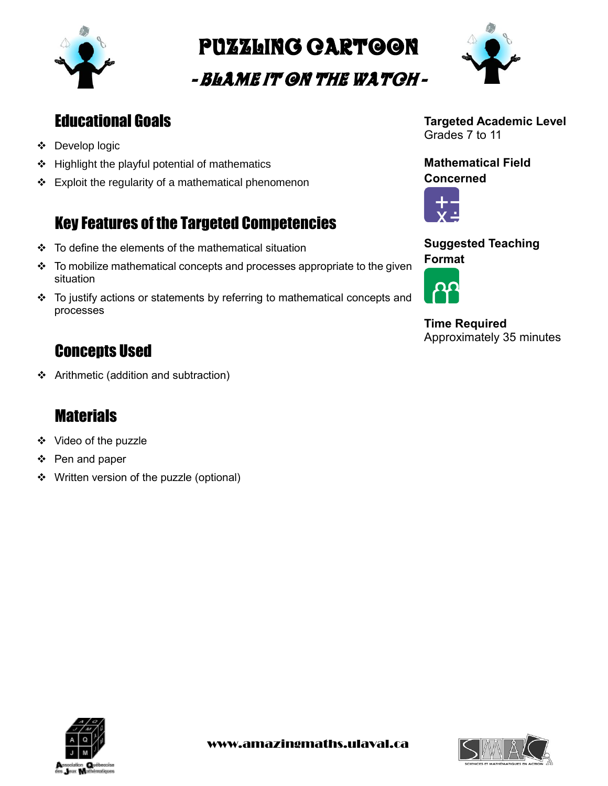

Puzzling cartoon

- Blame it on the Watch -



## Educational Goals

- Develop logic
- $\div$  Highlight the playful potential of mathematics
- $\div$  Exploit the regularity of a mathematical phenomenon

# Key Features of the Targeted Competencies

- To define the elements of the mathematical situation
- $\cdot \cdot$  To mobilize mathematical concepts and processes appropriate to the given situation
- \* To justify actions or statements by referring to mathematical concepts and processes

## Concepts Used

Arithmetic (addition and subtraction)

## **Materials**

- ❖ Video of the puzzle
- ❖ Pen and paper
- ❖ Written version of the puzzle (optional)

**Targeted Academic Level** Grades 7 to 11

**Mathematical Field Concerned**



**Suggested Teaching Format**



**Time Required** Approximately 35 minutes



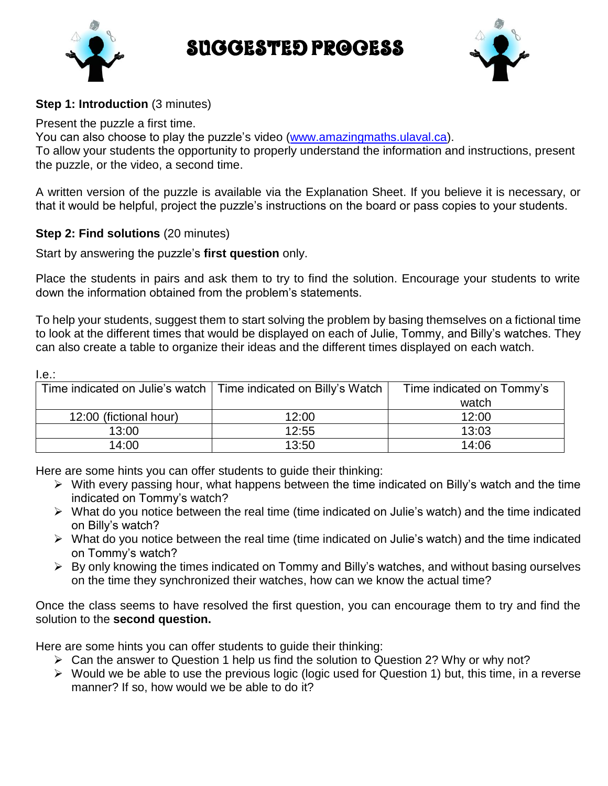Suggested Process





 $I \sim$ 

#### **Step 1: Introduction** (3 minutes)

Present the puzzle a first time.

You can also choose to play the puzzle's video [\(www.amazingmaths.ulaval.ca\)](http://www.amazingmaths.ulaval.ca/).

To allow your students the opportunity to properly understand the information and instructions, present the puzzle, or the video, a second time.

A written version of the puzzle is available via the Explanation Sheet. If you believe it is necessary, or that it would be helpful, project the puzzle's instructions on the board or pass copies to your students.

#### **Step 2: Find solutions** (20 minutes)

Start by answering the puzzle's **first question** only.

Place the students in pairs and ask them to try to find the solution. Encourage your students to write down the information obtained from the problem's statements.

To help your students, suggest them to start solving the problem by basing themselves on a fictional time to look at the different times that would be displayed on each of Julie, Tommy, and Billy's watches. They can also create a table to organize their ideas and the different times displayed on each watch.

| 1.5.                   |                                                                   |                           |
|------------------------|-------------------------------------------------------------------|---------------------------|
|                        | Time indicated on Julie's watch   Time indicated on Billy's Watch | Time indicated on Tommy's |
|                        |                                                                   | watch                     |
| 12:00 (fictional hour) | 12:00                                                             | 12:00                     |
| 13:00                  | 12:55                                                             | 13:03                     |
| 14:00                  | 13:50                                                             | 14:06                     |

Here are some hints you can offer students to guide their thinking:

- $\triangleright$  With every passing hour, what happens between the time indicated on Billy's watch and the time indicated on Tommy's watch?
- What do you notice between the real time (time indicated on Julie's watch) and the time indicated on Billy's watch?
- What do you notice between the real time (time indicated on Julie's watch) and the time indicated on Tommy's watch?
- $\triangleright$  By only knowing the times indicated on Tommy and Billy's watches, and without basing ourselves on the time they synchronized their watches, how can we know the actual time?

Once the class seems to have resolved the first question, you can encourage them to try and find the solution to the **second question.**

Here are some hints you can offer students to guide their thinking:

- $\triangleright$  Can the answer to Question 1 help us find the solution to Question 2? Why or why not?
- $\triangleright$  Would we be able to use the previous logic (logic used for Question 1) but, this time, in a reverse manner? If so, how would we be able to do it?